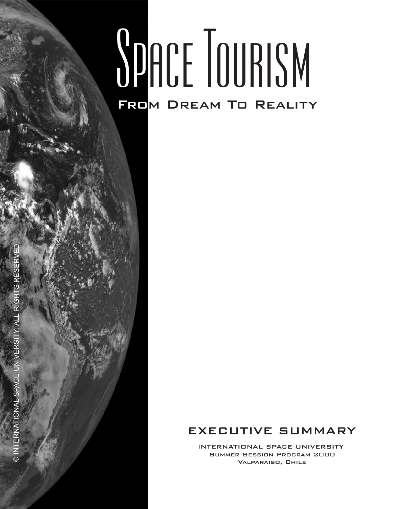# SPACE TOURISM FROM DREAM TO REALITY

### EXECUTIVE SUMMARY

INTERNATIONAL SPACE UNIVERSITY Summer Session Program 2000 Valparaiso, Chile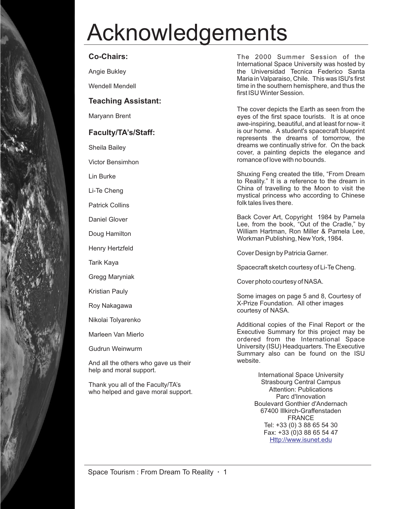# Acknowledgements

### **Co-Chairs:**

Angie Bukley

Wendell Mendell

#### **Teaching Assistant:**

Maryann Brent

### **Faculty/TA's/Staff:**

Sheila Bailey

Victor Bensimhon

Lin Burke

Li-Te Cheng

Patrick Collins

Daniel Glover

Doug Hamilton

Henry Hertzfeld

Tarik Kaya

Gregg Maryniak

Kristian Pauly

Roy Nakagawa

Nikolai Tolyarenko

Marleen Van Mierlo

Gudrun Weinwurm

And all the others who gave us their help and moral support.

Thank you all of the Faculty/TA's who helped and gave moral support.

The 2000 Summer Session of the International Space University was hosted by the Universidad Tecnica Federico Santa Maria in Valparaiso, Chile. This was ISU's first time in the southern hemisphere, and thus the first ISU Winter Session.

The cover depicts the Earth as seen from the eyes of the first space tourists. It is at once awe-inspiring, beautiful, and at least for now- it is our home. A student's spacecraft blueprint represents the dreams of tomorrow, the dreams we continually strive for. On the back cover, a painting depicts the elegance and romance of love with no bounds.

Shuxing Feng created the title, "From Dream to Reality." It is a reference to the dream in China of travelling to the Moon to visit the mystical princess who according to Chinese folk tales lives there.

Back Cover Art, Copyright 1984 by Pamela Lee, from the book, "Out of the Cradle," by William Hartman, Ron Miller & Pamela Lee, Workman Publishing, New York, 1984.

Cover Design by Patricia Garner.

Spacecraft sketch courtesy of Li-Te Cheng.

Cover photo courtesy of NASA.

Some images on page 5 and 8, Courtesy of X-Prize Foundation. All other images courtesy of NASA.

Additional copies of the Final Report or the Executive Summary for this project may be ordered from the International Space University (ISU) Headquarters. The Executive Summary also can be found on the ISU website.

> International Space University Strasbourg Central Campus Attention: Publications Parc d'Innovation Boulevard Gonthier d'Andernach 67400 Illkirch-Graffenstaden FRANCE Tel: +33 (0) 3 88 65 54 30 Fax: +33 (0)3 88 65 54 47 Http://www.isunet.edu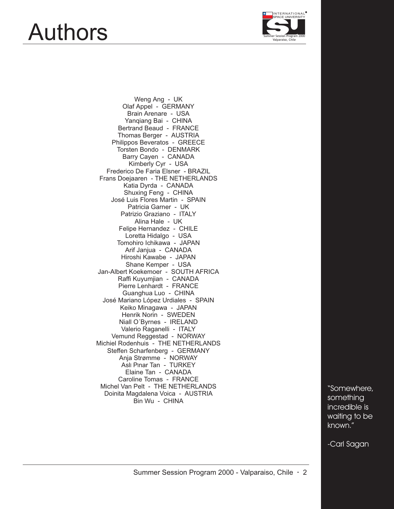### Authors



Weng Ang - UK Olaf Appel - GERMANY Brain Arenare - USA Yanqiang Bai - CHINA Bertrand Beaud - FRANCE Thomas Berger - AUSTRIA Philippos Beveratos - GREECE Torsten Bondo - DENMARK Barry Cayen - CANADA Kimberly Cyr - USA Frederico De Faria Elsner - BRAZIL Frans Doejaaren - THE NETHERLANDS Katia Dyrda - CANADA Shuxing Feng - CHINA José Luis Flores Martin - SPAIN Patricia Garner - UK Patrizio Graziano - ITALY Alina Hale - UK Felipe Hernandez - CHILE Loretta Hidalgo - USA Tomohiro Ichikawa - JAPAN Arif Janjua - CANADA Hiroshi Kawabe - JAPAN Shane Kemper - USA Jan-Albert Koekemoer - SOUTH AFRICA Raffi Kuyumjian - CANADA Pierre Lenhardt - FRANCE Guanghua Luo - CHINA José Mariano López Urdiales - SPAIN Keiko Minagawa - JAPAN Henrik Norin - SWEDEN Niall O´Byrnes - IRELAND Valerio Raganelli - ITALY Vemund Reggestad - NORWAY Michiel Rodenhuis - THE NETHERLANDS Steffen Scharfenberg - GERMANY Anja Strømme - NORWAY Aslı Pınar Tan - TURKEY Elaine Tan - CANADA Caroline Tomas - FRANCE Michel Van Pelt - THE NETHERLANDS Doinita Magdalena Voica - AUSTRIA Bin Wu - CHINA

**"Somewhere, something incredible is waiting to be known."**

**-Carl Sagan**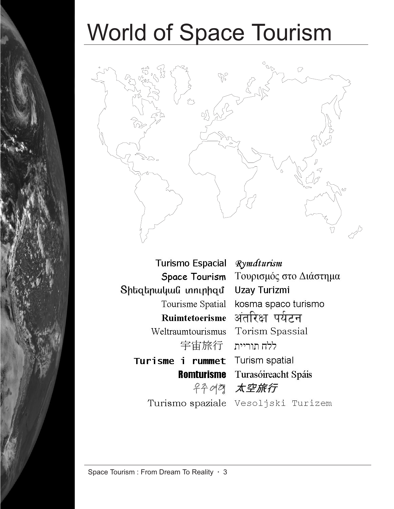# World of Space Tourism



Turismo Espacial Rymdturism Space Tourism Sիեզերական տուրիզմ Tourisme Spatial kosma spaco turismo Ruimtetoerisme अंतरिक्ष पर्यटन Weltraumtourismus Torism Spassial ללח תוריית 宇宙旅行 Turisme i rummet Turism spatial **Romturisme** Turasóireacht Spáis 우주여객 太空旅行

Τουρισμός στο Διάστημα Uzay Turizmi

Turismo spaziale Vesoljski Turizem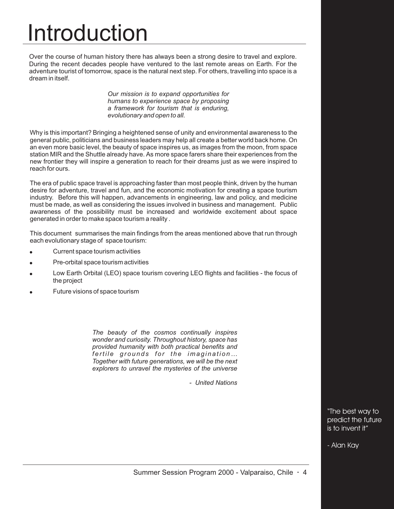# Introduction

Over the course of human history there has always been a strong desire to travel and explore. During the recent decades people have ventured to the last remote areas on Earth. For the adventure tourist of tomorrow, space is the natural next step. For others, travelling into space is a dream in itself.

> *Our mission is to expand opportunities for humans to experience space by proposing a framework for tourism that is enduring, evolutionary and open to all.*

Why is this important? Bringing a heightened sense of unity and environmental awareness to the general public, politicians and business leaders may help all create a better world back home. On an even more basic level, the beauty of space inspires us, as images from the moon, from space station MIR and the Shuttle already have. As more space farers share their experiences from the new frontier they will inspire a generation to reach for their dreams just as we were inspired to reach for ours.

The era of public space travel is approaching faster than most people think, driven by the human desire for adventure, travel and fun, and the economic motivation for creating a space tourism industry. Before this will happen, advancements in engineering, law and policy, and medicine must be made, as well as considering the issues involved in business and management. Public awareness of the possibility must be increased and worldwide excitement about space generated in order to make space tourism a reality .

This document summarises the main findings from the areas mentioned above that run through each evolutionary stage of space tourism:

- Current space tourism activities "
- Pre-orbital space tourism activities " "
- Low Earth Orbital (LEO) space tourism covering LEO flights and facilities the focus of the project "
- Future visions of space tourism

*The beauty of the cosmos continually inspires wonder and curiosity. Throughout history, space has provided humanity with both practical benefits and fertile grounds for the imagination… Together with future generations, we will be the next explorers to unravel the mysteries of the universe*

*- United Nations*

"The best way to predict the future is to invent it"

- Alan Kay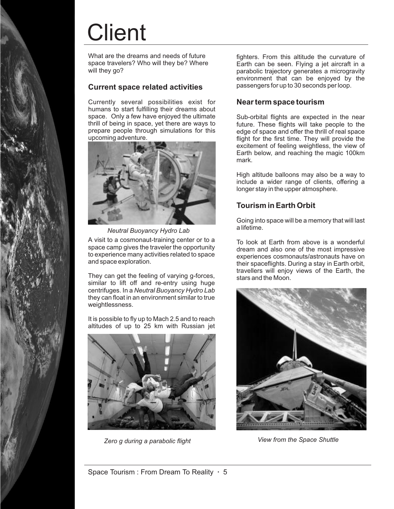# **Client**

What are the dreams and needs of future space travelers? Who will they be? Where will they go?

### **Current space related activities**

Currently several possibilities exist for humans to start fulfilling their dreams about space. Only a few have enjoyed the ultimate thrill of being in space, yet there are ways to prepare people through simulations for this upcoming adventure.



*Neutral Buoyancy Hydro Lab*

A visit to a cosmonaut-training center or to a space camp gives the traveler the opportunity to experience many activities related to space and space exploration.

They can get the feeling of varying g-forces, similar to lift off and re-entry using huge centrifuges. In a *Neutral Buoyancy Hydro Lab* they can float in an environment similar to true weightlessness.

It is possible to fly up to Mach 2.5 and to reach altitudes of up to 25 km with Russian jet



*Zero g during a parabolic flight*

fighters. From this altitude the curvature of Earth can be seen. Flying a jet aircraft in a parabolic trajectory generates a microgravity environment that can be enjoyed by the passengers for up to 30 seconds per loop.

#### **Near term space tourism**

Sub-orbital flights are expected in the near future. These flights will take people to the edge of space and offer the thrill of real space flight for the first time. They will provide the excitement of feeling weightless, the view of Earth below, and reaching the magic 100km mark.

High altitude balloons may also be a way to include a wider range of clients, offering a longer stay in the upper atmosphere.

### **Tourism in Earth Orbit**

Going into space will be a memory that will last a lifetime.

To look at Earth from above is a wonderful dream and also one of the most impressive experiences cosmonauts/astronauts have on their spaceflights. During a stay in Earth orbit, travellers will enjoy views of the Earth, the stars and the Moon.



*View from the Space Shuttle*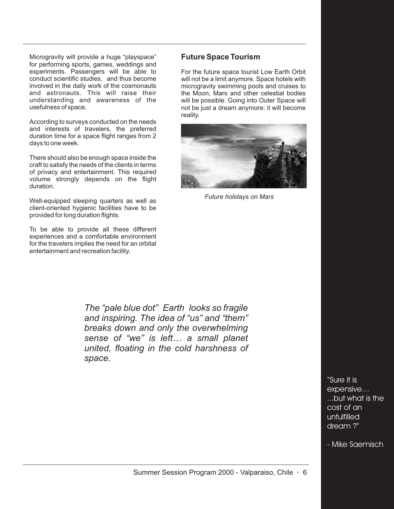Microgravity will provide a huge "playspace" for performing sports, games, weddings and experiments. Passengers will be able to conduct scientific studies, and thus become involved in the daily work of the cosmonauts and astronauts. This will raise their understanding and awareness of the usefulness of space.

According to surveys conducted on the needs and interests of travelers, the preferred duration time for a space flight ranges from 2 days to one week.

There should also be enough space inside the craft to satisfy the needs of the clients in terms of privacy and entertainment. This required volume strongly depends on the flight duration.

Well-equipped sleeping quarters as well as client-oriented hygienic facilities have to be provided for long duration flights.

To be able to provide all these different experiences and a comfortable environment for the travelers implies the need for an orbital entertainment and recreation facility.

### **Future Space Tourism**

For the future space tourist Low Earth Orbit will not be a limit anymore. Space hotels with microgravity swimming pools and cruises to the Moon, Mars and other celestial bodies will be possible. Going into Outer Space will not be just a dream anymore: it will become reality.



*Future holidays on Mars*

*The "pale blue dot" Earth looks so fragile and inspiring. The idea of "us" and "them" breaks down and only the overwhelming sense of "we" is left… a small planet united, floating in the cold harshness of space.*

> **"Sure it is expensive… ...but what is the cost of an unfulfilled dream ?"**

**- Mike Saemisch**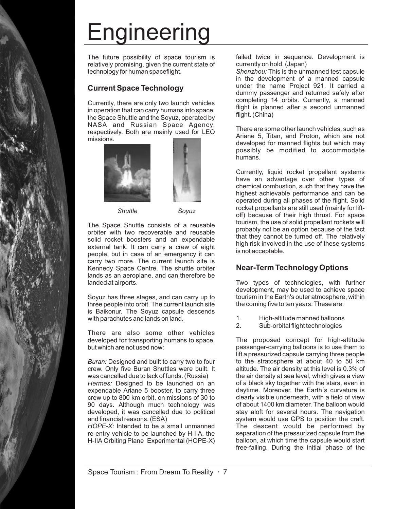# Engineering

The future possibility of space tourism is relatively promising, given the current state of technology for human spaceflight.

### **Current Space Technology**

Currently, there are only two launch vehicles in operation that can carry humans into space: the Space Shuttle and the Soyuz, operated by NASA and Russian Space Agency, respectively. Both are mainly used for LEO missions.







The Space Shuttle consists of a reusable orbiter with two recoverable and reusable solid rocket boosters and an expendable external tank. It can carry a crew of eight people, but in case of an emergency it can carry two more. The current launch site is Kennedy Space Centre. The shuttle orbiter lands as an aeroplane, and can therefore be landed at airports.

Soyuz has three stages, and can carry up to three people into orbit. The current launch site is Baikonur. The Soyuz capsule descends with parachutes and lands on land.

There are also some other vehicles developed for transporting humans to space, but which are not used now:

Buran: Designed and built to carry two to four crew. Only five Buran Shuttles were built. It was cancelled due to lack of funds. (Russia) Hermes: Designed to be launched on an expendable Ariane 5 booster, to carry three crew up to 800 km orbit, on missions of 30 to 90 days. Although much technology was developed, it was cancelled due to political and financial reasons. (ESA)

HOPE-X: Intended to be a small unmanned re-entry vehicle to be launched by H-IIA, the H-IIA Orbiting Plane Experimental (HOPE-X) failed twice in sequence. Development is currently on hold. (Japan)

Shenzhou: This is the unmanned test capsule in the development of a manned capsule under the name Project 921. It carried a dummy passenger and returned safely after completing 14 orbits. Currently, a manned flight is planned after a second unmanned flight. (China)

There are some other launch vehicles, such as Ariane 5, Titan, and Proton, which are not developed for manned flights but which may possibly be modified to accommodate humans.

Currently, liquid rocket propellant systems have an advantage over other types of chemical combustion, such that they have the highest achievable performance and can be operated during all phases of the flight. Solid rocket propellants are still used (mainly for liftoff) because of their high thrust. For space tourism, the use of solid propellant rockets will probably not be an option because of the fact that they cannot be turned off. The relatively high risk involved in the use of these systems is not acceptable.

### **Near-Term Technology Options**

Two types of technologies, with further development, may be used to achieve space tourism in the Earth's outer atmosphere, within the coming five to ten years. These are:

- 1. High-altitude manned balloons<br>2. Sub-orbital flight technologies
- Sub-orbital flight technologies

The proposed concept for high-altitude passenger-carrying balloons is to use them to lift a pressurized capsule carrying three people to the stratosphere at about 40 to 50 km altitude. The air density at this level is 0.3% of the air density at sea level, which gives a view of a black sky together with the stars, even in daytime. Moreover, the Earth´s curvature is clearly visible underneath, with a field of view of about 1400 km diameter. The balloon would stay aloft for several hours. The navigation system would use GPS to position the craft. The descent would be performed by separation of the pressurized capsule from the balloon, at which time the capsule would start free-falling. During the initial phase of the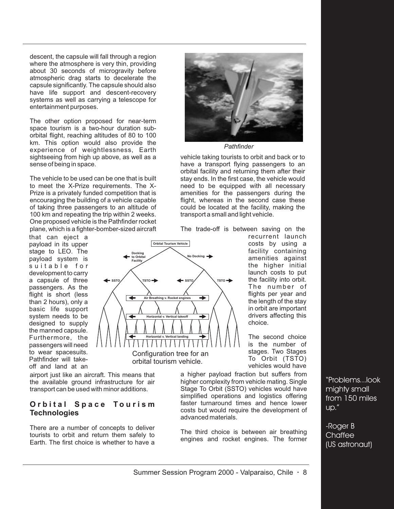descent, the capsule will fall through a region where the atmosphere is very thin, providing about 30 seconds of microgravity before atmospheric drag starts to decelerate the capsule significantly. The capsule should also have life support and descent-recovery systems as well as carrying a telescope for entertainment purposes.

The other option proposed for near-term space tourism is a two-hour duration suborbital flight, reaching altitudes of 80 to 100 km. This option would also provide the experience of weightlessness, Earth sightseeing from high up above, as well as a sense of being in space.

The vehicle to be used can be one that is built to meet the X-Prize requirements. The X-Prize is a privately funded competition that is encouraging the building of a vehicle capable of taking three passengers to an altitude of 100 km and repeating the trip within 2 weeks. One proposed vehicle is the Pathfinder rocket plane, which is a fighter-bomber-sized aircraft

that can eject a payload in its upper stage to LEO. The payload system is suitable for development to carry a capsule of three passengers. As the flight is short (less than 2 hours), only a basic life support system needs to be designed to supply the manned capsule. Furthermore, the passengers will need to wear spacesuits. Pathfinder will takeoff and land at an

airport just like an aircraft. This means that the available ground infrastructure for air transport can be used with minor additions.

### **Orbital Space Tourism Technologies**

There are a number of concepts to deliver tourists to orbit and return them safely to Earth. The first choice is whether to have a



#### *Pathfinder*

vehicle taking tourists to orbit and back or to have a transport flying passengers to an orbital facility and returning them after their stay ends. In the first case, the vehicle would need to be equipped with all necessary amenities for the passengers during the flight, whereas in the second case these could be located at the facility, making the transport a small and light vehicle.

The trade-off is between saving on the



recurrent launch costs by using a facility containing amenities against the higher initial launch costs to put the facility into orbit. The number of flights per year and the length of the stay in orbit are important drivers affecting this choice.

The second choice is the number of stages. Two Stages To Orbit (TSTO) vehicles would have

a higher payload fraction but suffers from higher complexity from vehicle mating. Single Stage To Orbit (SSTO) vehicles would have simplified operations and logistics offering faster turnaround times and hence lower costs but would require the development of advanced materials.

The third choice is between air breathing engines and rocket engines. The former

"Problems...look mighty small from 150 miles up."

-Roger B **Chaffee** (US astronaut)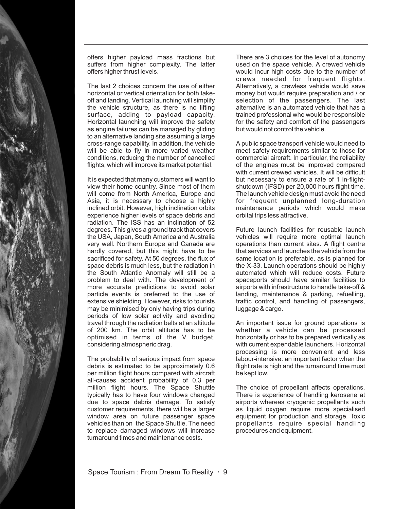

offers higher payload mass fractions but suffers from higher complexity. The latter offers higher thrust levels.

The last 2 choices concern the use of either horizontal or vertical orientation for both takeoff and landing. Vertical launching will simplify the vehicle structure, as there is no lifting surface, adding to payload capacity. Horizontal launching will improve the safety as engine failures can be managed by gliding to an alternative landing site assuming a large cross-range capability. In addition, the vehicle will be able to fly in more varied weather conditions, reducing the number of cancelled flights, which will improve its market potential.

It is expected that many customers will want to view their home country. Since most of them will come from North America, Europe and Asia, it is necessary to choose a highly inclined orbit. However, high inclination orbits experience higher levels of space debris and radiation. The ISS has an inclination of 52 degrees. This gives a ground track that covers the USA, Japan, South America and Australia very well. Northern Europe and Canada are hardly covered, but this might have to be sacrificed for safety. At 50 degrees, the flux of space debris is much less, but the radiation in the South Atlantic Anomaly will still be a problem to deal with. The development of more accurate predictions to avoid solar particle events is preferred to the use of extensive shielding. However, risks to tourists may be minimised by only having trips during periods of low solar activity and avoiding travel through the radiation belts at an altitude of 200 km. The orbit altitude has to be optimised in terms of the V budget, considering atmospheric drag.

The probability of serious impact from space debris is estimated to be approximately 0.6 per million flight hours compared with aircraft all-causes accident probability of 0.3 per million flight hours. The Space Shuttle typically has to have four windows changed due to space debris damage. To satisfy customer requirements, there will be a larger window area on future passenger space vehicles than on the Space Shuttle. The need to replace damaged windows will increase turnaround times and maintenance costs.

There are 3 choices for the level of autonomy used on the space vehicle. A crewed vehicle would incur high costs due to the number of crews needed for frequent flights. Alternatively, a crewless vehicle would save money but would require preparation and / or selection of the passengers. The last alternative is an automated vehicle that has a trained professional who would be responsible for the safety and comfort of the passengers but would not control the vehicle.

A public space transport vehicle would need to meet safety requirements similar to those for commercial aircraft. In particular, the reliability of the engines must be improved compared with current crewed vehicles. It will be difficult but necessary to ensure a rate of 1 in-flightshutdown (IFSD) per 20,000 hours flight time. The launch vehicle design must avoid the need for frequent unplanned long-duration maintenance periods which would make orbital trips less attractive.

Future launch facilities for reusable launch vehicles will require more optimal launch operations than current sites. A flight centre that services and launches the vehicle from the same location is preferable, as is planned for the X-33. Launch operations should be highly automated which will reduce costs. Future spaceports should have similar facilities to airports with infrastructure to handle take-off & landing, maintenance & parking, refuelling, traffic control, and handling of passengers, luggage & cargo.

An important issue for ground operations is whether a vehicle can be processed horizontally or has to be prepared vertically as with current expendable launchers. Horizontal processing is more convenient and less labour-intensive: an important factor when the flight rate is high and the turnaround time must be kept low.

The choice of propellant affects operations. There is experience of handling kerosene at airports whereas cryogenic propellants such as liquid oxygen require more specialised equipment for production and storage. Toxic propellants require special handling procedures and equipment.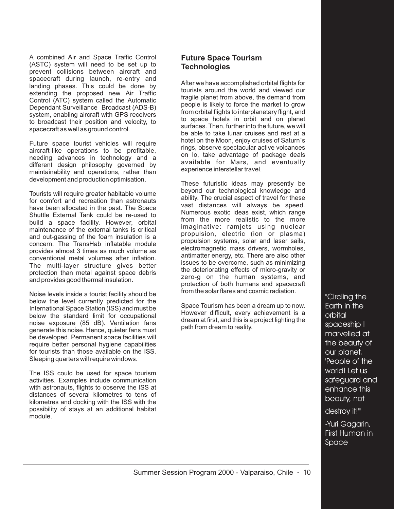A combined Air and Space Traffic Control (ASTC) system will need to be set up to prevent collisions between aircraft and spacecraft during launch, re-entry and landing phases. This could be done by extending the proposed new Air Traffic Control (ATC) system called the Automatic Dependant Surveillance Broadcast (ADS-B) system, enabling aircraft with GPS receivers to broadcast their position and velocity, to spacecraft as well as ground control.

Future space tourist vehicles will require aircraft-like operations to be profitable, needing advances in technology and a different design philosophy governed by maintainability and operations, rather than development and production optimisation.

Tourists will require greater habitable volume for comfort and recreation than astronauts have been allocated in the past. The Space Shuttle External Tank could be re-used to build a space facility. However, orbital maintenance of the external tanks is critical and out-gassing of the foam insulation is a concern. The TransHab inflatable module provides almost 3 times as much volume as conventional metal volumes after inflation. The multi-layer structure gives better protection than metal against space debris and provides good thermal insulation.

Noise levels inside a tourist facility should be below the level currently predicted for the International Space Station (ISS) and must be below the standard limit for occupational noise exposure (85 dB). Ventilation fans generate this noise. Hence, quieter fans must be developed. Permanent space facilities will require better personal hygiene capabilities for tourists than those available on the ISS. Sleeping quarters will require windows.

The ISS could be used for space tourism activities. Examples include communication with astronauts, flights to observe the ISS at distances of several kilometres to tens of kilometres and docking with the ISS with the possibility of stays at an additional habitat module.

### **Future Space Tourism Technologies**

After we have accomplished orbital flights for tourists around the world and viewed our fragile planet from above, the demand from people is likely to force the market to grow from orbital flights to interplanetary flight, and to space hotels in orbit and on planet surfaces. Then, further into the future, we will be able to take lunar cruises and rest at a hotel on the Moon, enjoy cruises of Saturn´s rings, observe spectacular active volcanoes on Io, take advantage of package deals available for Mars, and eventually experience interstellar travel.

These futuristic ideas may presently be beyond our technological knowledge and ability. The crucial aspect of travel for these vast distances will always be speed. Numerous exotic ideas exist, which range from the more realistic to the more imaginative: ramjets using nuclear propulsion, electric (ion or plasma) propulsion systems, solar and laser sails, electromagnetic mass drivers, wormholes, antimatter energy, etc. There are also other issues to be overcome, such as minimizing the deteriorating effects of micro-gravity or zero-g on the human systems, and protection of both humans and spacecraft from the solar flares and cosmic radiation.

Space Tourism has been a dream up to now. However difficult, every achievement is a dream at first, and this is a project lighting the path from dream to reality.

**"Circling the Earth in the orbital spaceship I marvelled at the beauty of our planet, 'People of the world! Let us safeguard and enhance this beauty, not**

**destroy it!'"**

**-Yuri Gagarin, First Human in Space**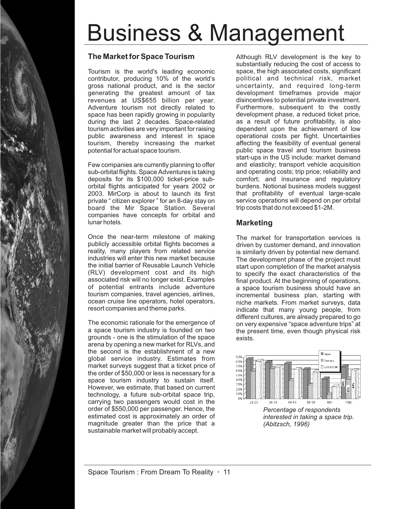# Business & Management

### **The Market for Space Tourism**

Tourism is the world's leading economic contributor, producing 10% of the world's gross national product, and is the sector generating the greatest amount of tax revenues at US\$655 billion per year. Adventure tourism not directly related to space has been rapidly growing in popularity during the last 2 decades. Space-related tourism activities are very important for raising public awareness and interest in space tourism, thereby increasing the market potential for actual space tourism.

Few companies are currently planning to offer sub-orbital flights. Space Adventures is taking deposits for its \$100,000 ticket-price suborbital flights anticipated for years 2002 or 2003. MirCorp is about to launch its first private " citizen explorer " for an 8-day stay on board the Mir Space Station. Several companies have concepts for orbital and lunar hotels.

Once the near-term milestone of making publicly accessible orbital flights becomes a reality, many players from related service industries will enter this new market because the initial barrier of Reusable Launch Vehicle (RLV) development cost and its high associated risk will no longer exist. Examples of potential entrants include adventure tourism companies, travel agencies, airlines, ocean cruise line operators, hotel operators, resort companies and theme parks.

The economic rationale for the emergence of a space tourism industry is founded on two grounds - one is the stimulation of the space arena by opening a new market for RLVs, and the second is the establishment of a new global service industry. Estimates from market surveys suggest that a ticket price of the order of \$50,000 or less is necessary for a space tourism industry to sustain itself. However, we estimate, that based on current technology, a future sub-orbital space trip, carrying two passengers would cost in the order of \$550,000 per passenger. Hence, the estimated cost is approximately an order of magnitude greater than the price that a sustainable market will probably accept.

Although RLV development is the key to substantially reducing the cost of access to space, the high associated costs, significant political and technical risk, market uncertainty, and required long-term development timeframes provide major disincentives to potential private investment. Furthermore, subsequent to the costly development phase, a reduced ticket price, as a result of future profitability, is also dependent upon the achievement of low operational costs per flight. Uncertainties affecting the feasibility of eventual general public space travel and tourism business start-ups in the US include: market demand and elasticity; transport vehicle acquisition and operating costs; trip price; reliability and comfort; and insurance and regulatory burdens. Notional business models suggest that profitability of eventual large-scale service operations will depend on per orbital trip costs that do not exceed \$1-2M.

### **Marketing**

The market for transportation services is driven by customer demand, and innovation is similarly driven by potential new demand. The development phase of the project must start upon completion of the market analysis to specify the exact characteristics of the final product. At the beginning of operations, a space tourism business should have an incremental business plan, starting with niche markets. From market surveys, data indicate that many young people, from different cultures, are already prepared to go on very expensive "space adventure trips" at the present time, even though physical risk exists.



*Percentage of respondents interested in taking a space trip. (Abitzsch, 1996)*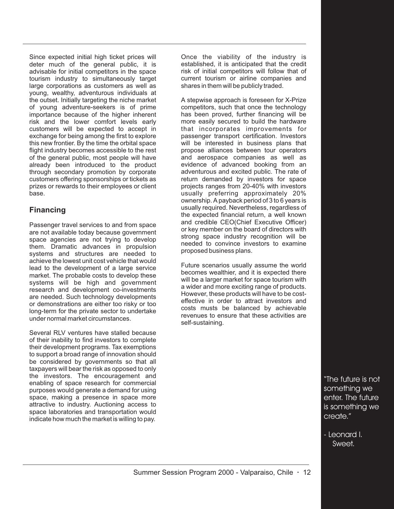Since expected initial high ticket prices will deter much of the general public, it is advisable for initial competitors in the space tourism industry to simultaneously target large corporations as customers as well as young, wealthy, adventurous individuals at the outset. Initially targeting the niche market of young adventure-seekers is of prime importance because of the higher inherent risk and the lower comfort levels early customers will be expected to accept in exchange for being among the first to explore this new frontier. By the time the orbital space flight industry becomes accessible to the rest of the general public, most people will have already been introduced to the product through secondary promotion by corporate customers offering sponsorships or tickets as prizes or rewards to their employees or client base.

### **Financing**

Passenger travel services to and from space are not available today because government space agencies are not trying to develop them. Dramatic advances in propulsion systems and structures are needed to achieve the lowest unit cost vehicle that would lead to the development of a large service market. The probable costs to develop these systems will be high and government research and development co-investments are needed. Such technology developments or demonstrations are either too risky or too long-term for the private sector to undertake under normal market circumstances.

Several RLV ventures have stalled because of their inability to find investors to complete their development programs. Tax exemptions to support a broad range of innovation should be considered by governments so that all taxpayers will bear the risk as opposed to only the investors. The encouragement and enabling of space research for commercial purposes would generate a demand for using space, making a presence in space more attractive to industry. Auctioning access to space laboratories and transportation would indicate how much the market is willing to pay.

Once the viability of the industry is established, it is anticipated that the credit risk of initial competitors will follow that of current tourism or airline companies and shares in them will be publicly traded.

A stepwise approach is foreseen for X-Prize competitors, such that once the technology has been proved, further financing will be more easily secured to build the hardware that incorporates improvements for passenger transport certification. Investors will be interested in business plans that propose alliances between tour operators and aerospace companies as well as evidence of advanced booking from an adventurous and excited public. The rate of return demanded by investors for space projects ranges from 20-40% with investors usually preferring approximately 20% ownership. A payback period of 3 to 6 years is usually required. Nevertheless, regardless of the expected financial return, a well known and credible CEO(Chief Executive Officer) or key member on the board of directors with strong space industry recognition will be needed to convince investors to examine proposed business plans.

Future scenarios usually assume the world becomes wealthier, and it is expected there will be a larger market for space tourism with a wider and more exciting range of products. However, these products will have to be costeffective in order to attract investors and costs musts be balanced by achievable revenues to ensure that these activities are self-sustaining.

> "The future is not something we enter. The future is something we create."

- Leonard I. Sweet.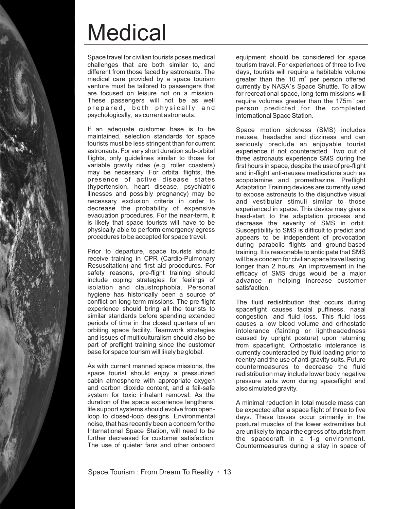# **Medical**

Space travel for civilian tourists poses medical challenges that are both similar to, and different from those faced by astronauts. The medical care provided by a space tourism venture must be tailored to passengers that are focused on leisure not on a mission. These passengers will not be as well prepared, both physically and psychologically, as current astronauts.

If an adequate customer base is to be maintained, selection standards for space tourists must be less stringent than for current astronauts. For very short duration sub-orbital flights, only guidelines similar to those for variable gravity rides (e.g. roller coasters) may be necessary. For orbital flights, the presence of active disease states (hypertension, heart disease, psychiatric illnesses and possibly pregnancy) may be necessary exclusion criteria in order to decrease the probability of expensive evacuation procedures. For the near-term, it is likely that space tourists will have to be physically able to perform emergency egress procedures to be accepted for space travel.

Prior to departure, space tourists should receive training in CPR (Cardio-Pulmonary Resuscitation) and first aid procedures. For safety reasons, pre-flight training should include coping strategies for feelings of isolation and claustrophobia. Personal hygiene has historically been a source of conflict on long-term missions. The pre-flight experience should bring all the tourists to similar standards before spending extended periods of time in the closed quarters of an orbiting space facility. Teamwork strategies and issues of multiculturalism should also be part of preflight training since the customer base for space tourism will likely be global.

As with current manned space missions, the space tourist should enjoy a pressurized cabin atmosphere with appropriate oxygen and carbon dioxide content, and a fail-safe system for toxic inhalant removal. As the duration of the space experience lengthens, life support systems should evolve from openloop to closed-loop designs. Environmental noise, that has recently been a concern for the International Space Station, will need to be further decreased for customer satisfaction. The use of quieter fans and other onboard

equipment should be considered for space tourism travel. For experiences of three to five days, tourists will require a habitable volume greater than the 10  $m^3$  per person offered currently by NASA´s Space Shuttle. To allow for recreational space, long-term missions will require volumes greater than the 175m $^3$  per person predicted for the completed International Space Station.

Space motion sickness (SMS) includes nausea, headache and dizziness and can seriously preclude an enjoyable tourist experience if not counteracted. Two out of three astronauts experience SMS during the first hours in space, despite the use of pre-flight and in-flight anti-nausea medications such as scopolamine and promethazine. Preflight Adaptation Training devices are currently used to expose astronauts to the disjunctive visual and vestibular stimuli similar to those experienced in space. This device may give a head-start to the adaptation process and decrease the severity of SMS in orbit. Susceptibility to SMS is difficult to predict and appears to be independent of provocation during parabolic flights and ground-based training. It is reasonable to anticipate that SMS will be a concern for civilian space travel lasting longer than 2 hours. An improvement in the efficacy of SMS drugs would be a major advance in helping increase customer satisfaction.

The fluid redistribution that occurs during spaceflight causes facial puffiness, nasal congestion, and fluid loss. This fluid loss causes a low blood volume and orthostatic intolerance (fainting or lightheadedness caused by upright posture) upon returning from spaceflight. Orthostatic intolerance is currently counteracted by fluid loading prior to reentry and the use of anti-gravity suits. Future countermeasures to decrease the fluid redistribution may include lower body negative pressure suits worn during spaceflight and also simulated gravity.

A minimal reduction in total muscle mass can be expected after a space flight of three to five days. These losses occur primarily in the postural muscles of the lower extremities but are unlikely to impair the egress of tourists from the spacecraft in a 1-g environment. Countermeasures during a stay in space of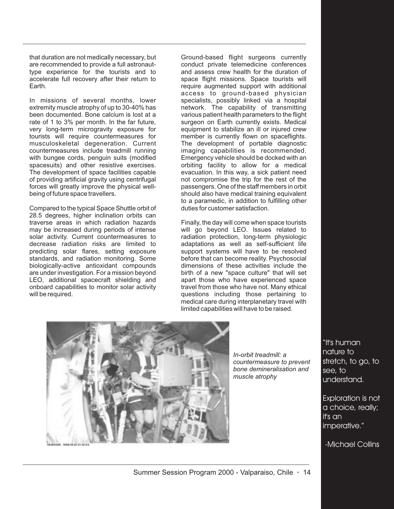that duration are not medically necessary, but are recommended to provide a full astronauttype experience for the tourists and to accelerate full recovery after their return to Earth.

In missions of several months, lower extremity muscle atrophy of up to 30-40% has been documented. Bone calcium is lost at a rate of 1 to 3% per month. In the far future, very long-term microgravity exposure for tourists will require countermeasures for musculoskeletal degeneration. Current countermeasures include treadmill running with bungee cords, penguin suits (modified spacesuits) and other resistive exercises. The development of space facilities capable of providing artificial gravity using centrifugal forces will greatly improve the physical wellbeing of future space travellers.

Compared to the typical Space Shuttle orbit of 28.5 degrees, higher inclination orbits can traverse areas in which radiation hazards may be increased during periods of intense solar activity. Current countermeasures to decrease radiation risks are limited to predicting solar flares, setting exposure standards, and radiation monitoring. Some biologically-active antioxidant compounds are under investigation. For a mission beyond LEO, additional spacecraft shielding and onboard capabilities to monitor solar activity will be required.

Ground-based flight surgeons currently conduct private telemedicine conferences and assess crew health for the duration of space flight missions. Space tourists will require augmented support with additional access to ground-based physician specialists, possibly linked via a hospital network. The capability of transmitting various patient health parameters to the flight surgeon on Earth currently exists. Medical equipment to stabilize an ill or injured crew member is currently flown on spaceflights. The development of portable diagnostic imaging capabilities is recommended. Emergency vehicle should be docked with an orbiting facility to allow for a medical evacuation. In this way, a sick patient need not compromise the trip for the rest of the passengers. One of the staff members in orbit should also have medical training equivalent to a paramedic, in addition to fulfilling other duties for customer satisfaction.

Finally, the day will come when space tourists will go beyond LEO. Issues related to radiation protection, long-term physiologic adaptations as well as self-sufficient life support systems will have to be resolved before that can become reality. Psychosocial dimensions of these activities include the birth of a new "space culture" that will set apart those who have experienced space travel from those who have not. Many ethical questions including those pertaining to medical care during interplanetary travel with limited capabilities will have to be raised.



*In-orbit treadmill: a countermeasure to prevent bone demineralisation and muscle atrophy*

"It's human nature to stretch, to go, to see, to understand.

Exploration is not a choice, really; it's an imperative."

-Michael Collins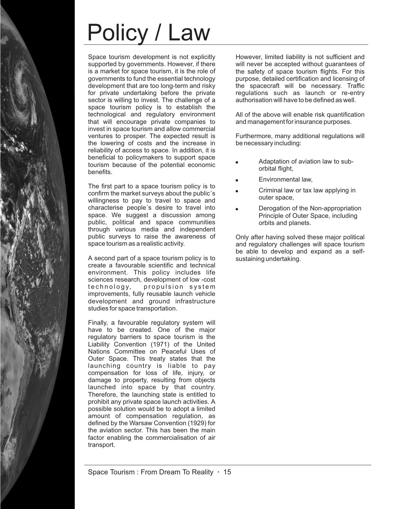# Policy / Law

Space tourism development is not explicitly supported by governments. However, if there is a market for space tourism, it is the role of governments to fund the essential technology development that are too long-term and risky for private undertaking before the private sector is willing to invest. The challenge of a space tourism policy is to establish the technological and regulatory environment that will encourage private companies to invest in space tourism and allow commercial ventures to prosper. The expected result is the lowering of costs and the increase in reliability of access to space. In addition, it is beneficial to policymakers to support space tourism because of the potential economic benefits.

The first part to a space tourism policy is to confirm the market surveys about the public´s willingness to pay to travel to space and characterise people´s desire to travel into space. We suggest a discussion among public, political and space communities through various media and independent public surveys to raise the awareness of space tourism as a realistic activity.

A second part of a space tourism policy is to create a favourable scientific and technical environment. This policy includes life sciences research, development of low -cost technology, propulsion system improvements, fully reusable launch vehicle development and ground infrastructure studies for space transportation.

Finally, a favourable regulatory system will have to be created. One of the major regulatory barriers to space tourism is the Liability Convention (1971) of the United Nations Committee on Peaceful Uses of Outer Space. This treaty states that the launching country is liable to pay compensation for loss of life, injury, or damage to property, resulting from objects launched into space by that country. Therefore, the launching state is entitled to prohibit any private space launch activities. A possible solution would be to adopt a limited amount of compensation regulation, as defined by the Warsaw Convention (1929) for the aviation sector. This has been the main factor enabling the commercialisation of air transport.

However, limited liability is not sufficient and will never be accepted without guarantees of the safety of space tourism flights. For this purpose, detailed certification and licensing of the spacecraft will be necessary. Traffic regulations such as launch or re-entry authorisation will have to be defined as well.

All of the above will enable risk quantification and management for insurance purposes.

Furthermore, many additional regulations will be necessary including:

- Adaptation of aviation law to suborbital flight, "
- Environmental law, " "
- Criminal law or tax law applying in outer space, "
- Derogation of the Non-appropriation Principle of Outer Space, including orbits and planets.

Only after having solved these major political and regulatory challenges will space tourism be able to develop and expand as a selfsustaining undertaking.